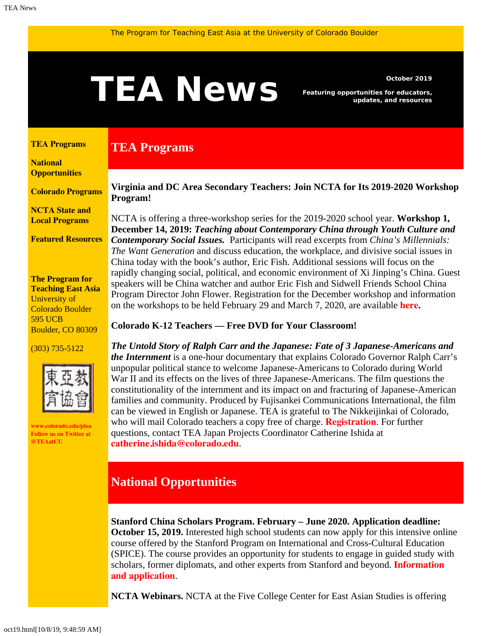# <span id="page-0-1"></span>**TEANS** *Featuring opportunities for educators,*<br>updates, and resources

**TEA Programs**

*Featuring opportunities for educators, updates, and resources*

#### <span id="page-0-0"></span>**[TEA Programs](#page-0-0)**

**[National](#page-0-1)  [Opportunities](#page-0-1)**

**[Colorado Programs](#page-2-0)**

**[NCTA State and](#page-3-0) [Local Programs](#page-3-0)**

**[Featured Resources](#page-3-1)**

**The Program for Teaching East Asia** University of Colorado Boulder 595 UCB Boulder, CO 80309

#### (303) 735-5122



**[www.colorado.edu/ptea](http://www.colorado.edu/cas/tea) Follow us on Twitter at [@TEAatCU](https://twitter.com/TEAatCU)**

### **Virginia and DC Area Secondary Teachers: Join NCTA for Its 2019-2020 Workshop Program!**

NCTA is offering a three-workshop series for the 2019-2020 school year. **Workshop 1, December 14, 2019:** *Teaching about Contemporary China through Youth Culture and Contemporary Social Issues.* Participants will read excerpts from *China's Millennials: The Want Generation* and discuss education, the workplace, and divisive social issues in China today with the book's author, Eric Fish. Additional sessions will focus on the rapidly changing social, political, and economic environment of Xi Jinping's China. Guest speakers will be China watcher and author Eric Fish and Sidwell Friends School China Program Director John Flower. Registration for the December workshop and information on the workshops to be held February 29 and March 7, 2020, are available **[here](https://www.colorado.edu/ptea/sites/default/files/attached-files/nova_flyer_2019_2020.pdf).**

#### **Colorado K-12 Teachers — Free DVD for Your Classroom!**

*The Untold Story of Ralph Carr and the Japanese: Fate of 3 Japanese-Americans and the Internment* is a one-hour documentary that explains Colorado Governor Ralph Carr's unpopular political stance to welcome Japanese-Americans to Colorado during World War II and its effects on the lives of three Japanese-Americans. The film questions the constitutionality of the internment and its impact on and fracturing of Japanese-American families and community. Produced by Fujisankei Communications International, the film can be viewed in English or Japanese. TEA is grateful to The Nikkeijinkai of Colorado, who will mail Colorado teachers a copy free of charge. **[Registration](https://www.colorado.edu/ptea/content/registration-resource)**. For further questions, contact TEA Japan Projects Coordinator Catherine Ishida at **[catherine.ishida@colorado.edu](mailto:catherine.ishida@colorado.edu)**.

# **National Opportunities**

**Stanford China Scholars Program. February – June 2020. Application deadline: October 15, 2019.** Interested high school students can now apply for this intensive online course offered by the Stanford Program on International and Cross-Cultural Education (SPICE). The course provides an opportunity for students to engage in guided study with scholars, former diplomats, and other experts from Stanford and beyond. **[Information](https://spice.fsi.stanford.edu/fellowship/china-scholars-program) [and application](https://spice.fsi.stanford.edu/fellowship/china-scholars-program)**.

**NCTA Webinars.** NCTA at the Five College Center for East Asian Studies is offering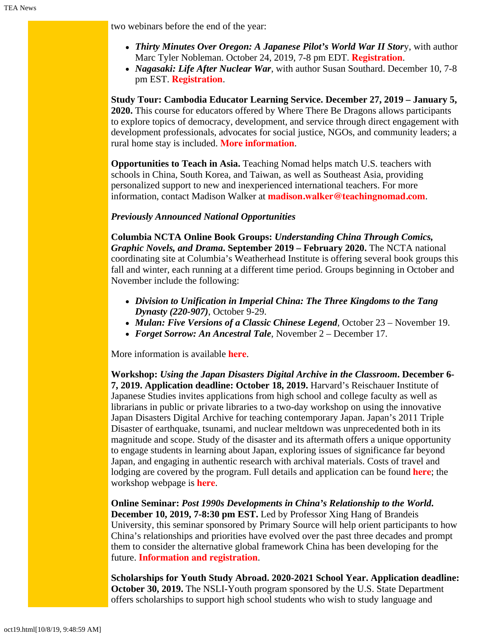two webinars before the end of the year:

- *Thirty Minutes Over Oregon: A Japanese Pilot's World War II Stor*y, with author Marc Tyler Nobleman. October 24, 2019, 7-8 pm EDT. **[Registration](https://attendee.gotowebinar.com/register/3858272462319366402)**.
- *Nagasaki: Life After Nuclear War*, with author Susan Southard. December 10, 7-8 pm EST. **[Registration](https://register.gotowebinar.com/register/7917711176098218754)**.

**Study Tour: Cambodia Educator Learning Service. December 27, 2019 – January 5, 2020.** This course for educators offered by Where There Be Dragons allows participants to explore topics of democracy, development, and service through direct engagement with development professionals, advocates for social justice, NGOs, and community leaders; a rural home stay is included. **[More information](https://www.wheretherebedragons.com/program/cambodia-educator/)**.

**Opportunities to Teach in Asia.** Teaching Nomad helps match U.S. teachers with schools in China, South Korea, and Taiwan, as well as Southeast Asia, providing personalized support to new and inexperienced international teachers. For more information, contact Madison Walker at **[madison.walker@teachingnomad.com](mailto:madison.walker@teachingnomad.com)**.

#### *Previously Announced National Opportunities*

**Columbia NCTA Online Book Groups:** *Understanding China Through Comics, Graphic Novels, and Drama***. September 2019 – February 2020.** The NCTA national coordinating site at Columbia's Weatherhead Institute is offering several book groups this fall and winter, each running at a different time period. Groups beginning in October and November include the following:

- *Division to Unification in Imperial China: The Three Kingdoms to the Tang Dynasty (220-907)*, October 9-29.
- *Mulan: Five Versions of a Classic Chinese Legend*, October 23 November 19.
- *Forget Sorrow: An Ancestral Tale*, November 2 December 17.

More information is available **[here](http://afe.easia.columbia.edu/announcements/2019/BookGroupsFall19.html)**.

**Workshop:** *Using the Japan Disasters Digital Archive in the Classroom***. December 6- 7, 2019. Application deadline: October 18, 2019.** Harvard's Reischauer Institute of Japanese Studies invites applications from high school and college faculty as well as librarians in public or private libraries to a two-day workshop on using the innovative Japan Disasters Digital Archive for teaching contemporary Japan. Japan's 2011 Triple Disaster of earthquake, tsunami, and nuclear meltdown was unprecedented both in its magnitude and scope. Study of the disaster and its aftermath offers a unique opportunity to engage students in learning about Japan, exploring issues of significance far beyond Japan, and engaging in authentic research with archival materials. Costs of travel and lodging are covered by the program. Full details and application can be found **[here](https://rijs.fas.harvard.edu/sites/default/files/2019-08/Dec2019_Harvard_JapanDisastersDigitalArchive_Workshop.pdf)**; the workshop webpage is **[here](https://rijs.fas.harvard.edu/workshop-jda)**.

**Online Seminar:** *Post 1990s Developments in China's Relationship to the World***. December 10, 2019, 7-8:30 pm EST.** Led by Professor Xing Hang of Brandeis University, this seminar sponsored by Primary Source will help orient participants to how China's relationships and priorities have evolved over the past three decades and prompt them to consider the alternative global framework China has been developing for the future. **[Information and registration](https://www.primarysource.org/for-teachers/19---for-teachers---webinars---post-1990s-developments-in-chinas-relationship-to-the-world)**.

**Scholarships for Youth Study Abroad. 2020-2021 School Year. Application deadline: October 30, 2019.** The NSLI-Youth program sponsored by the U.S. State Department offers scholarships to support high school students who wish to study language and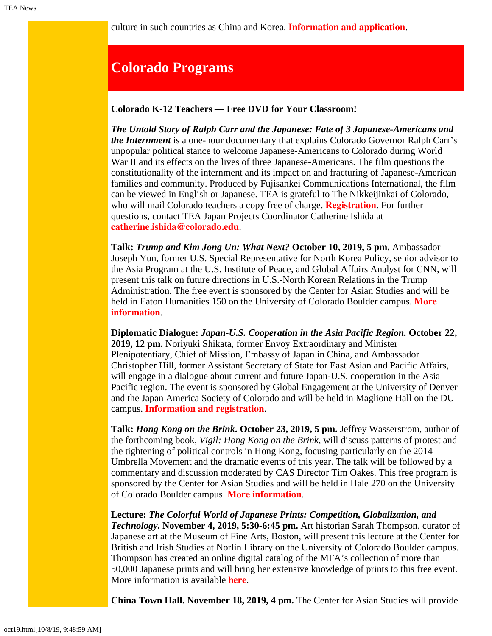culture in such countries as China and Korea. **[Information and application](https://www.nsliforyouth.org/)**.

# <span id="page-2-0"></span>**Colorado Programs**

#### **Colorado K-12 Teachers — Free DVD for Your Classroom!**

*The Untold Story of Ralph Carr and the Japanese: Fate of 3 Japanese-Americans and the Internment* is a one-hour documentary that explains Colorado Governor Ralph Carr's unpopular political stance to welcome Japanese-Americans to Colorado during World War II and its effects on the lives of three Japanese-Americans. The film questions the constitutionality of the internment and its impact on and fracturing of Japanese-American families and community. Produced by Fujisankei Communications International, the film can be viewed in English or Japanese. TEA is grateful to The Nikkeijinkai of Colorado, who will mail Colorado teachers a copy free of charge. **[Registration](https://www.colorado.edu/ptea/content/registration-resource)**. For further questions, contact TEA Japan Projects Coordinator Catherine Ishida at **[catherine.ishida@colorado.edu](mailto:catherine.ishida@colorado.edu)**.

**Talk:** *Trump and Kim Jong Un: What Next?* **October 10, 2019, 5 pm.** Ambassador Joseph Yun, former U.S. Special Representative for North Korea Policy, senior advisor to the Asia Program at the U.S. Institute of Peace, and Global Affairs Analyst for CNN, will present this talk on future directions in U.S.-North Korean Relations in the Trump Administration. The free event is sponsored by the Center for Asian Studies and will be held in Eaton Humanities 150 on the University of Colorado Boulder campus. **[More](https://www.colorado.edu/cas/trump-and-kim-jong-un-what-next-20191010) [information](https://www.colorado.edu/cas/trump-and-kim-jong-un-what-next-20191010)**.

**Diplomatic Dialogue:** *Japan-U.S. Cooperation in the Asia Pacific Region.* **October 22, 2019, 12 pm.** Noriyuki Shikata, former Envoy Extraordinary and Minister Plenipotentiary, Chief of Mission, Embassy of Japan in China, and Ambassador Christopher Hill, former Assistant Secretary of State for East Asian and Pacific Affairs, will engage in a dialogue about current and future Japan-U.S. cooperation in the Asia Pacific region. The event is sponsored by Global Engagement at the University of Denver and the Japan America Society of Colorado and will be held in Maglione Hall on the DU campus. **[Information and registration](http://dughost.imodules.com/s/1150/community/index.aspx?sid=1150&gid=1007&pgid=20629&cid=37242&ecid=37242)**.

**Talk:** *Hong Kong on the Brink***. October 23, 2019, 5 pm.** Jeffrey Wasserstrom, author of the forthcoming book, *Vigil: Hong Kong on the Brink*, will discuss patterns of protest and the tightening of political controls in Hong Kong, focusing particularly on the 2014 Umbrella Movement and the dramatic events of this year. The talk will be followed by a commentary and discussion moderated by CAS Director Tim Oakes. This free program is sponsored by the Center for Asian Studies and will be held in Hale 270 on the University of Colorado Boulder campus. **[More information](https://www.colorado.edu/cas/hong-kong-brink-20191023)**.

**Lecture:** *The Colorful World of Japanese Prints: Competition, Globalization, and Technology***. November 4, 2019, 5:30-6:45 pm.** Art historian Sarah Thompson, curator of Japanese art at the Museum of Fine Arts, Boston, will present this lecture at the Center for British and Irish Studies at Norlin Library on the University of Colorado Boulder campus. Thompson has created an online digital catalog of the MFA's collection of more than 50,000 Japanese prints and will bring her extensive knowledge of prints to this free event. More information is available **[here](https://www.colorado.edu/cas/colorful-world-japanese-prints-competition-globalization-and-technology-20191104)**.

**China Town Hall. November 18, 2019, 4 pm.** The Center for Asian Studies will provide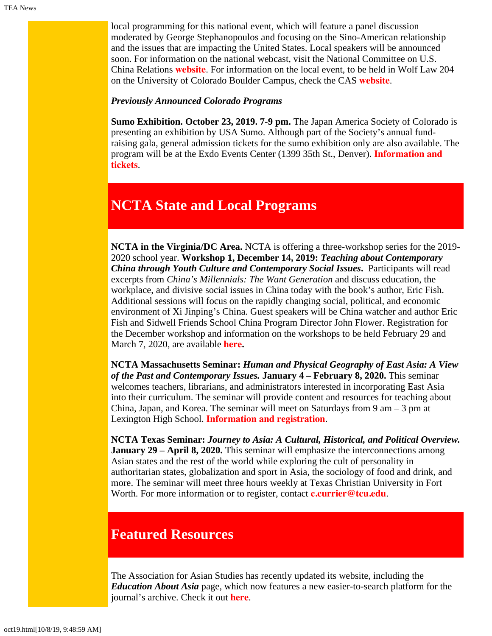local programming for this national event, which will feature a panel discussion moderated by George Stephanopoulos and focusing on the Sino-American relationship and the issues that are impacting the United States. Local speakers will be announced soon. For information on the national webcast, visit the National Committee on U.S. China Relations **[website](https://www.ncuscr.org/program/china-town-hall)**. For information on the local event, to be held in Wolf Law 204 on the University of Colorado Boulder Campus, check the CAS **[website](https://www.colorado.edu/cas/)**.

#### *Previously Announced Colorado Programs*

**Sumo Exhibition. October 23, 2019. 7-9 pm.** The Japan America Society of Colorado is presenting an exhibition by USA Sumo. Although part of the Society's annual fundraising gala, general admission tickets for the sumo exhibition only are also available. The program will be at the Exdo Events Center (1399 35th St., Denver). **[Information and](https://www.jascolorado.org/eventsold/2019/10/23/jasc-annual-gala-sumo-in-colorado) [tickets](https://www.jascolorado.org/eventsold/2019/10/23/jasc-annual-gala-sumo-in-colorado)**.

## <span id="page-3-0"></span>**NCTA State and Local Programs**

**NCTA in the Virginia/DC Area.** NCTA is offering a three-workshop series for the 2019- 2020 school year. **Workshop 1, December 14, 2019:** *Teaching about Contemporary China through Youth Culture and Contemporary Social Issues***.** Participants will read excerpts from *China's Millennials: The Want Generation* and discuss education, the workplace, and divisive social issues in China today with the book's author, Eric Fish. Additional sessions will focus on the rapidly changing social, political, and economic environment of Xi Jinping's China. Guest speakers will be China watcher and author Eric Fish and Sidwell Friends School China Program Director John Flower. Registration for the December workshop and information on the workshops to be held February 29 and March 7, 2020, are available **[here](https://www.colorado.edu/ptea/sites/default/files/attached-files/nova_flyer_2019_2020.pdf).**

**NCTA Massachusetts Seminar:** *Human and Physical Geography of East Asia: A View of the Past and Contemporary Issues.* **January 4 – February 8, 2020.** This seminar welcomes teachers, librarians, and administrators interested in incorporating East Asia into their curriculum. The seminar will provide content and resources for teaching about China, Japan, and Korea. The seminar will meet on Saturdays from  $9 \text{ am} - 3 \text{ pm}$  at Lexington High School. **[Information and registration](https://www.fivecolleges.edu/fcceas/ncta/ncta_in_massachusetts/2020-Lexington-MA)**.

**NCTA Texas Seminar:** *Journey to Asia: A Cultural, Historical, and Political Overview.* **January 29 – April 8, 2020.** This seminar will emphasize the interconnections among Asian states and the rest of the world while exploring the cult of personality in authoritarian states, globalization and sport in Asia, the sociology of food and drink, and more. The seminar will meet three hours weekly at Texas Christian University in Fort Worth. For more information or to register, contact **[c.currier@tcu.edu](mailto:c.currier@tcu.edu)**.

# <span id="page-3-1"></span>**Featured Resources**

The Association for Asian Studies has recently updated its website, including the *Education About Asia* page, which now features a new easier-to-search platform for the journal's archive. Check it out **[here](https://www.asianstudies.org/publications/eaa/)**.